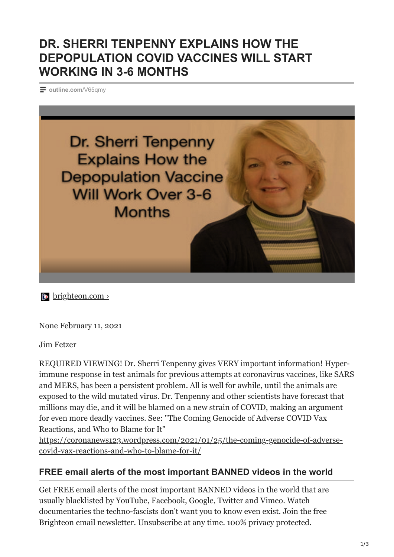## **DR. SHERRI TENPENNY EXPLAINS HOW THE DEPOPULATION COVID VACCINES WILL START WORKING IN 3-6 MONTHS**

**[outline.com](https://outline.com/V65qmy)**/V65qmy



**b** brighteon.com >

None February 11, 2021

Jim Fetzer

REQUIRED VIEWING! Dr. Sherri Tenpenny gives VERY important information! Hyperimmune response in test animals for previous attempts at coronavirus vaccines, like SARS and MERS, has been a persistent problem. All is well for awhile, until the animals are exposed to the wild mutated virus. Dr. Tenpenny and other scientists have forecast that millions may die, and it will be blamed on a new strain of COVID, making an argument for even more deadly vaccines. See: "The Coming Genocide of Adverse COVID Vax Reactions, and Who to Blame for It"

[https://coronanews123.wordpress.com/2021/01/25/the-coming-genocide-of-adverse](https://coronanews123.wordpress.com/2021/01/25/the-coming-genocide-of-adverse-covid-vax-reactions-and-who-to-blame-for-it/)covid-vax-reactions-and-who-to-blame-for-it/

## **FREE email alerts of the most important BANNED videos in the world**

Get FREE email alerts of the most important BANNED videos in the world that are usually blacklisted by YouTube, Facebook, Google, Twitter and Vimeo. Watch documentaries the techno-fascists don't want you to know even exist. Join the free Brighteon email newsletter. Unsubscribe at any time. 100% privacy protected.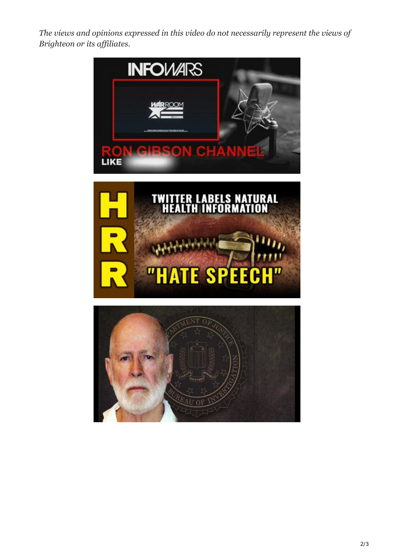*The views and opinions expressed in this video do not necessarily represent the views of Brighteon or its affiliates.*